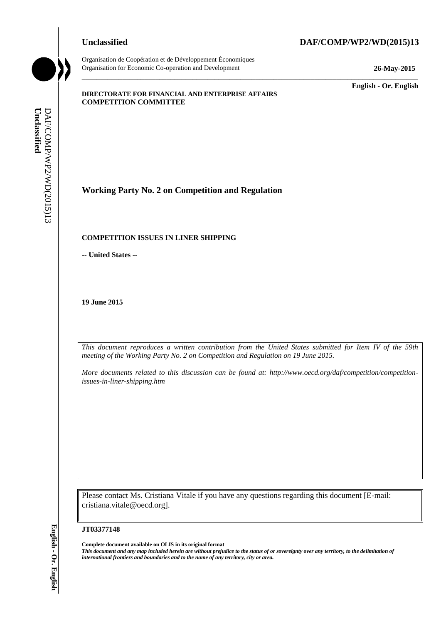Organisation de Coopération et de Développement Économiques Organisation for Economic Co-operation and Development **26-May-2015**

#### **Unclassified DAF/COMP/WP2/WD(2015)13**

\_\_\_\_\_\_\_\_\_\_\_\_\_ **English - Or. English**

#### **DIRECTORATE FOR FINANCIAL AND ENTERPRISE AFFAIRS COMPETITION COMMITTEE**

**Working Party No. 2 on Competition and Regulation**

## **COMPETITION ISSUES IN LINER SHIPPING**

**-- United States --**

**19 June 2015**

*This document reproduces a written contribution from the United States submitted for Item IV of the 59th meeting of the Working Party No. 2 on Competition and Regulation on 19 June 2015.* 

\_\_\_\_\_\_\_\_\_\_\_\_\_\_\_\_\_\_\_\_\_\_\_\_\_\_\_\_\_\_\_\_\_\_\_\_\_\_\_\_\_\_\_\_\_\_\_\_\_\_\_\_\_\_\_\_\_\_\_\_\_\_\_\_\_\_\_\_\_\_\_\_\_\_\_\_\_\_\_\_\_\_\_\_\_\_\_\_\_\_\_

*More documents related to this discussion can be found at: http://www.oecd.org/daf/competition/competitionissues-in-liner-shipping.htm* 

Please contact Ms. Cristiana Vitale if you have any questions regarding this document [E-mail: cristiana.vitale@oecd.org].

#### **JT03377148**

**Complete document available on OLIS in its original format** *This document and any map included herein are without prejudice to the status of or sovereignty over any territory, to the delimitation of*  **iii. iii. iii. IVOTATION ISSUES IN LINER SHIPPING**<br> **III. COMPETTITON** ISSUES IN LINER SHIPPING<br>
- United States --<br> **19 June 2015**<br> **IPON decouvers reproduces a written complimentary from the United States --**<br>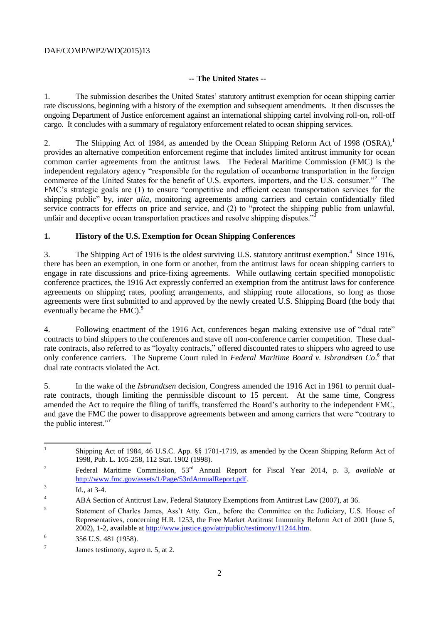## DAF/COMP/WP2/WD(2015)13

## **-- The United States --**

1. The submission describes the United States' statutory antitrust exemption for ocean shipping carrier rate discussions, beginning with a history of the exemption and subsequent amendments. It then discusses the ongoing Department of Justice enforcement against an international shipping cartel involving roll-on, roll-off cargo. It concludes with a summary of regulatory enforcement related to ocean shipping services.

2. The Shipping Act of 1984, as amended by the Ocean Shipping Reform Act of 1998 (OSRA),<sup>1</sup> provides an alternative competition enforcement regime that includes limited antitrust immunity for ocean common carrier agreements from the antitrust laws. The Federal Maritime Commission (FMC) is the independent regulatory agency "responsible for the regulation of oceanborne transportation in the foreign commerce of the United States for the benefit of U.S. exporters, importers, and the U.S. consumer."<sup>2</sup> The FMC's strategic goals are (1) to ensure "competitive and efficient ocean transportation services for the shipping public" by, *inter alia*, monitoring agreements among carriers and certain confidentially filed service contracts for effects on price and service, and (2) to "protect the shipping public from unlawful, unfair and deceptive ocean transportation practices and resolve shipping disputes."<sup>3</sup>

## **1. History of the U.S. Exemption for Ocean Shipping Conferences**

3. The Shipping Act of 1916 is the oldest surviving U.S. statutory antitrust exemption.<sup>4</sup> Since 1916, there has been an exemption, in one form or another, from the antitrust laws for ocean shipping carriers to engage in rate discussions and price-fixing agreements. While outlawing certain specified monopolistic conference practices, the 1916 Act expressly conferred an exemption from the antitrust laws for conference agreements on shipping rates, pooling arrangements, and shipping route allocations, so long as those agreements were first submitted to and approved by the newly created U.S. Shipping Board (the body that eventually became the FMC).<sup>5</sup>

4. Following enactment of the 1916 Act, conferences began making extensive use of "dual rate" contracts to bind shippers to the conferences and stave off non-conference carrier competition. These dualrate contracts, also referred to as "loyalty contracts," offered discounted rates to shippers who agreed to use only conference carriers. The Supreme Court ruled in *Federal Maritime Board v. Isbrandtsen Co.*<sup>6</sup> that dual rate contracts violated the Act.

5. In the wake of the *Isbrandtsen* decision, Congress amended the 1916 Act in 1961 to permit dualrate contracts, though limiting the permissible discount to 15 percent. At the same time, Congress amended the Act to require the filing of tariffs, transferred the Board's authority to the independent FMC, and gave the FMC the power to disapprove agreements between and among carriers that were "contrary to the public interest."<sup>7</sup>

 $\frac{1}{1}$ Shipping Act of 1984, 46 U.S.C. App. §§ 1701-1719, as amended by the Ocean Shipping Reform Act of 1998, Pub. L. 105-258, 112 Stat. 1902 (1998).

<sup>2</sup> Federal Maritime Commission, 53rd Annual Report for Fiscal Year 2014, p. 3, *available at* [http://www.fmc.gov/assets/1/Page/53rdAnnualReport.pdf.](http://www.fmc.gov/assets/1/Page/53rdAnnualReport.pdf)

<sup>3</sup> Id., at 3-4.

<sup>&</sup>lt;sup>4</sup> ABA Section of Antitrust Law, Federal Statutory Exemptions from Antitrust Law (2007), at 36.

<sup>5</sup> Statement of Charles James, Ass't Atty. Gen., before the Committee on the Judiciary, U.S. House of Representatives, concerning H.R. 1253, the Free Market Antitrust Immunity Reform Act of 2001 (June 5, 2002), 1-2, available at [http://www.justice.gov/atr/public/testimony/11244.htm.](http://www.justice.gov/atr/public/testimony/11244.htm)

<sup>6</sup> 356 U.S. 481 (1958).

<sup>7</sup> James testimony, *supra* n. 5, at 2.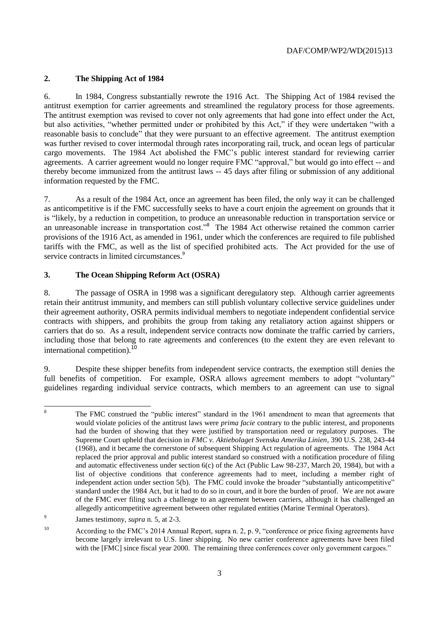# **2. The Shipping Act of 1984**

6. In 1984, Congress substantially rewrote the 1916 Act. The Shipping Act of 1984 revised the antitrust exemption for carrier agreements and streamlined the regulatory process for those agreements. The antitrust exemption was revised to cover not only agreements that had gone into effect under the Act, but also activities, "whether permitted under or prohibited by this Act," if they were undertaken "with a reasonable basis to conclude" that they were pursuant to an effective agreement. The antitrust exemption was further revised to cover intermodal through rates incorporating rail, truck, and ocean legs of particular cargo movements. The 1984 Act abolished the FMC's public interest standard for reviewing carrier agreements. A carrier agreement would no longer require FMC "approval," but would go into effect -- and thereby become immunized from the antitrust laws -- 45 days after filing or submission of any additional information requested by the FMC.

7. As a result of the 1984 Act, once an agreement has been filed, the only way it can be challenged as anticompetitive is if the FMC successfully seeks to have a court enjoin the agreement on grounds that it is "likely, by a reduction in competition, to produce an unreasonable reduction in transportation service or an unreasonable increase in transportation cost."<sup>8</sup> The 1984 Act otherwise retained the common carrier provisions of the 1916 Act, as amended in 1961, under which the conferences are required to file published tariffs with the FMC, as well as the list of specified prohibited acts. The Act provided for the use of service contracts in limited circumstances.<sup>9</sup>

# **3. The Ocean Shipping Reform Act (OSRA)**

8. The passage of OSRA in 1998 was a significant deregulatory step. Although carrier agreements retain their antitrust immunity, and members can still publish voluntary collective service guidelines under their agreement authority, OSRA permits individual members to negotiate independent confidential service contracts with shippers, and prohibits the group from taking any retaliatory action against shippers or carriers that do so. As a result, independent service contracts now dominate the traffic carried by carriers, including those that belong to rate agreements and conferences (to the extent they are even relevant to international competition).<sup>10</sup>

9. Despite these shipper benefits from independent service contracts, the exemption still denies the full benefits of competition. For example, OSRA allows agreement members to adopt "voluntary" guidelines regarding individual service contracts, which members to an agreement can use to signal

 $\bf 8$ <sup>8</sup> The FMC construed the "public interest" standard in the 1961 amendment to mean that agreements that would violate policies of the antitrust laws were *prima facie* contrary to the public interest, and proponents had the burden of showing that they were justified by transportation need or regulatory purposes. The Supreme Court upheld that decision in *FMC v. Aktiebolaget Svenska Amerika Linien*, 390 U.S. 238, 243-44 (1968), and it became the cornerstone of subsequent Shipping Act regulation of agreements. The 1984 Act replaced the prior approval and public interest standard so construed with a notification procedure of filing and automatic effectiveness under section 6(c) of the Act (Public Law 98-237, March 20, 1984), but with a list of objective conditions that conference agreements had to meet, including a member right of independent action under section 5(b). The FMC could invoke the broader "substantially anticompetitive" standard under the 1984 Act, but it had to do so in court, and it bore the burden of proof. We are not aware of the FMC ever filing such a challenge to an agreement between carriers, although it has challenged an allegedly anticompetitive agreement between other regulated entities (Marine Terminal Operators).

 $\overline{9}$ James testimony, *supra* n. 5, at 2-3.

<sup>&</sup>lt;sup>10</sup> According to the FMC's 2014 Annual Report, supra n. 2, p. 9, "conference or price fixing agreements have become largely irrelevant to U.S. liner shipping. No new carrier conference agreements have been filed with the [FMC] since fiscal year 2000. The remaining three conferences cover only government cargoes."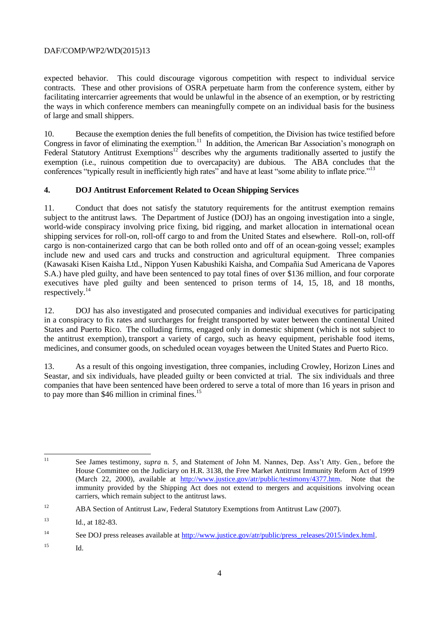## DAF/COMP/WP2/WD(2015)13

expected behavior. This could discourage vigorous competition with respect to individual service contracts. These and other provisions of OSRA perpetuate harm from the conference system, either by facilitating intercarrier agreements that would be unlawful in the absence of an exemption, or by restricting the ways in which conference members can meaningfully compete on an individual basis for the business of large and small shippers.

10. Because the exemption denies the full benefits of competition, the Division has twice testified before Congress in favor of eliminating the exemption.<sup>11</sup> In addition, the American Bar Association's monograph on Federal Statutory Antitrust Exemptions<sup>12</sup> describes why the arguments traditionally asserted to justify the exemption (i.e., ruinous competition due to overcapacity) are dubious. The ABA concludes that the conferences "typically result in inefficiently high rates" and have at least "some ability to inflate price."<sup>13</sup>

## **4. DOJ Antitrust Enforcement Related to Ocean Shipping Services**

11. Conduct that does not satisfy the statutory requirements for the antitrust exemption remains subject to the antitrust laws. The Department of Justice (DOJ) has an ongoing investigation into a single, world-wide conspiracy involving price fixing, bid rigging, and market allocation in international ocean shipping services for roll-on, roll-off cargo to and from the United States and elsewhere. Roll-on, roll-off cargo is non-containerized cargo that can be both rolled onto and off of an ocean-going vessel; examples include new and used cars and trucks and construction and agricultural equipment. Three companies (Kawasaki Kisen Kaisha Ltd., Nippon Yusen Kabushiki Kaisha, and Compañia Sud Americana de Vapores S.A.) have pled guilty, and have been sentenced to pay total fines of over \$136 million, and four corporate executives have pled guilty and been sentenced to prison terms of 14, 15, 18, and 18 months, respectively.<sup>14</sup>

12. DOJ has also investigated and prosecuted companies and individual executives for participating in a conspiracy to fix rates and surcharges for freight transported by water between the continental United States and Puerto Rico. The colluding firms, engaged only in domestic shipment (which is not subject to the antitrust exemption), transport a variety of cargo, such as heavy equipment, perishable food items, medicines, and consumer goods, on scheduled ocean voyages between the United States and Puerto Rico.

13. As a result of this ongoing investigation, three companies, including Crowley, Horizon Lines and Seastar, and six individuals, have pleaded guilty or been convicted at trial. The six individuals and three companies that have been sentenced have been ordered to serve a total of more than 16 years in prison and to pay more than \$46 million in criminal fines. $^{15}$ 

<sup>15</sup> Id.

 $11$ <sup>11</sup> See James testimony, *supra* n. 5, and Statement of John M. Nannes, Dep. Ass't Atty. Gen., before the House Committee on the Judiciary on H.R. 3138, the Free Market Antitrust Immunity Reform Act of 1999 (March 22, 2000), available at [http://www.justice.gov/atr/public/testimony/4377.htm.](http://www.justice.gov/atr/public/testimony/4377.htm) Note that the immunity provided by the Shipping Act does not extend to mergers and acquisitions involving ocean carriers, which remain subject to the antitrust laws.

<sup>&</sup>lt;sup>12</sup> ABA Section of Antitrust Law, Federal Statutory Exemptions from Antitrust Law (2007).

<sup>&</sup>lt;sup>13</sup> Id., at 182-83.

<sup>&</sup>lt;sup>14</sup> See DOJ press releases available at [http://www.justice.gov/atr/public/press\\_releases/2015/index.html.](http://www.justice.gov/atr/public/press_releases/2015/index.html)